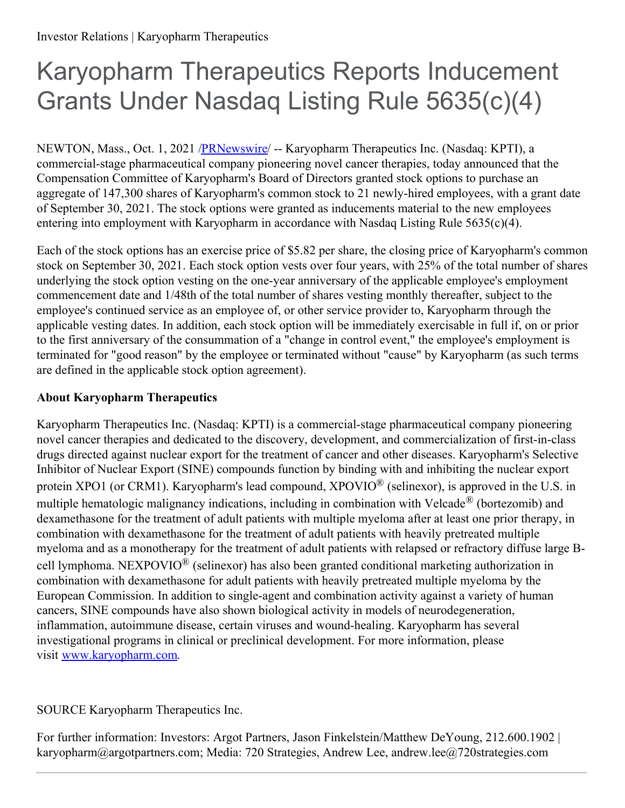## Karyopharm Therapeutics Reports Inducement Grants Under Nasdaq Listing Rule 5635(c)(4)

NEWTON, Mass., Oct. 1, 2021 [/PRNewswire/](http://www.prnewswire.com/) -- Karyopharm Therapeutics Inc. (Nasdaq: KPTI), a commercial-stage pharmaceutical company pioneering novel cancer therapies, today announced that the Compensation Committee of Karyopharm's Board of Directors granted stock options to purchase an aggregate of 147,300 shares of Karyopharm's common stock to 21 newly-hired employees, with a grant date of September 30, 2021. The stock options were granted as inducements material to the new employees entering into employment with Karyopharm in accordance with Nasdaq Listing Rule 5635(c)(4).

Each of the stock options has an exercise price of \$5.82 per share, the closing price of Karyopharm's common stock on September 30, 2021. Each stock option vests over four years, with 25% of the total number of shares underlying the stock option vesting on the one-year anniversary of the applicable employee's employment commencement date and 1/48th of the total number of shares vesting monthly thereafter, subject to the employee's continued service as an employee of, or other service provider to, Karyopharm through the applicable vesting dates. In addition, each stock option will be immediately exercisable in full if, on or prior to the first anniversary of the consummation of a "change in control event," the employee's employment is terminated for "good reason" by the employee or terminated without "cause" by Karyopharm (as such terms are defined in the applicable stock option agreement).

## **About Karyopharm Therapeutics**

Karyopharm Therapeutics Inc. (Nasdaq: KPTI) is a commercial-stage pharmaceutical company pioneering novel cancer therapies and dedicated to the discovery, development, and commercialization of first-in-class drugs directed against nuclear export for the treatment of cancer and other diseases. Karyopharm's Selective Inhibitor of Nuclear Export (SINE) compounds function by binding with and inhibiting the nuclear export protein XPO1 (or CRM1). Karyopharm's lead compound, XPOVIO $^{\circledR}$  (selinexor), is approved in the U.S. in multiple hematologic malignancy indications, including in combination with Velcade<sup>®</sup> (bortezomib) and dexamethasone for the treatment of adult patients with multiple myeloma after at least one prior therapy, in combination with dexamethasone for the treatment of adult patients with heavily pretreated multiple myeloma and as a monotherapy for the treatment of adult patients with relapsed or refractory diffuse large Bcell lymphoma. NEXPOVIO<sup>®</sup> (selinexor) has also been granted conditional marketing authorization in combination with dexamethasone for adult patients with heavily pretreated multiple myeloma by the European Commission. In addition to single-agent and combination activity against a variety of human cancers, SINE compounds have also shown biological activity in models of neurodegeneration, inflammation, autoimmune disease, certain viruses and wound-healing. Karyopharm has several investigational programs in clinical or preclinical development. For more information, please visit [www.karyopharm.com](https://c212.net/c/link/?t=0&l=en&o=3309482-1&h=3272466348&u=https%3A%2F%2Fc212.net%2Fc%2Flink%2F%3Ft%3D0%26l%3Den%26o%3D3279817-1%26h%3D1920662981%26u%3Dhttp%253A%252F%252Fwww.karyopharm.com%252F%26a%3Dwww.karyopharm.com&a=www.karyopharm.com).

## SOURCE Karyopharm Therapeutics Inc.

For further information: Investors: Argot Partners, Jason Finkelstein/Matthew DeYoung, 212.600.1902 | karyopharm@argotpartners.com; Media: 720 Strategies, Andrew Lee, andrew.lee@720strategies.com